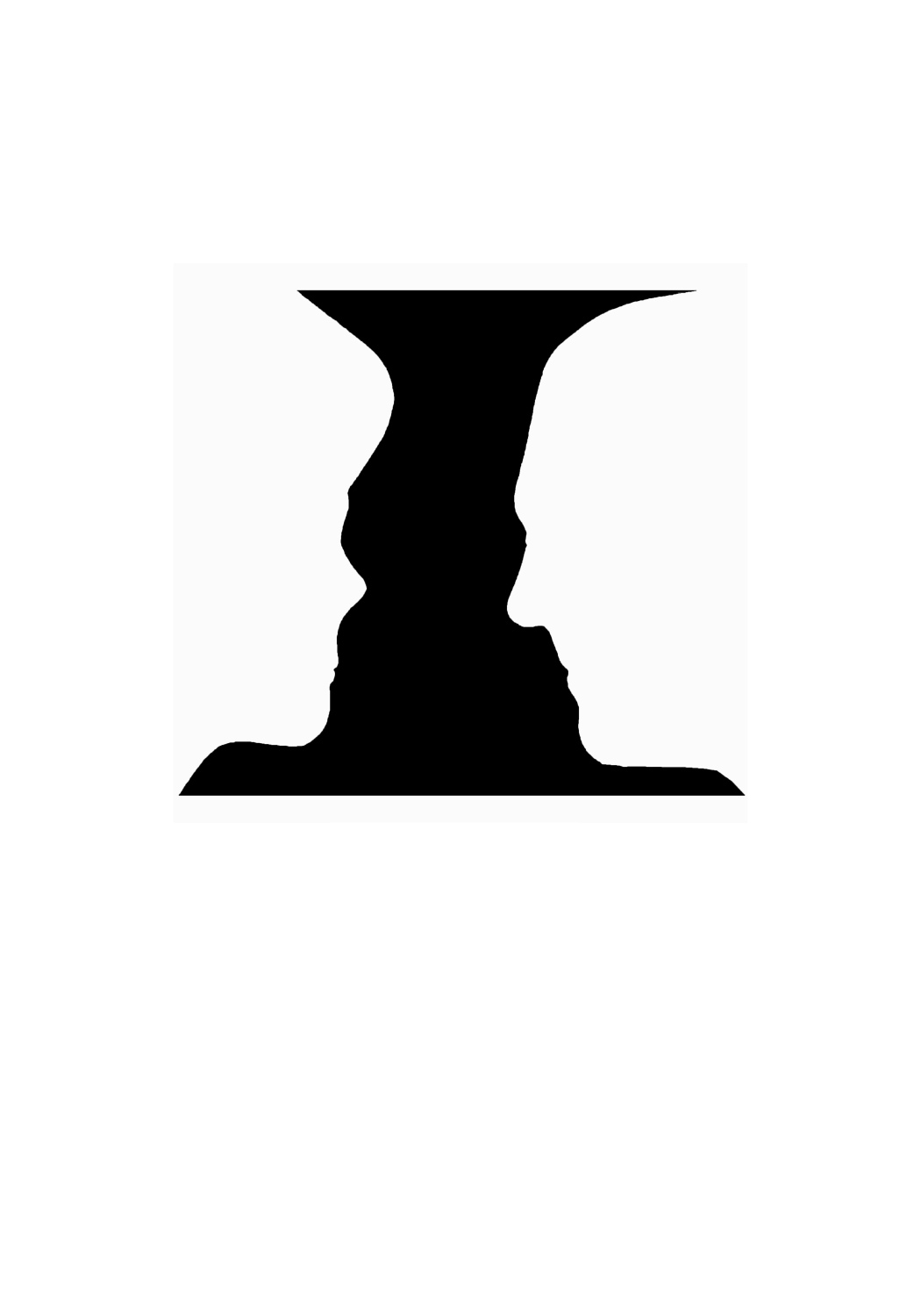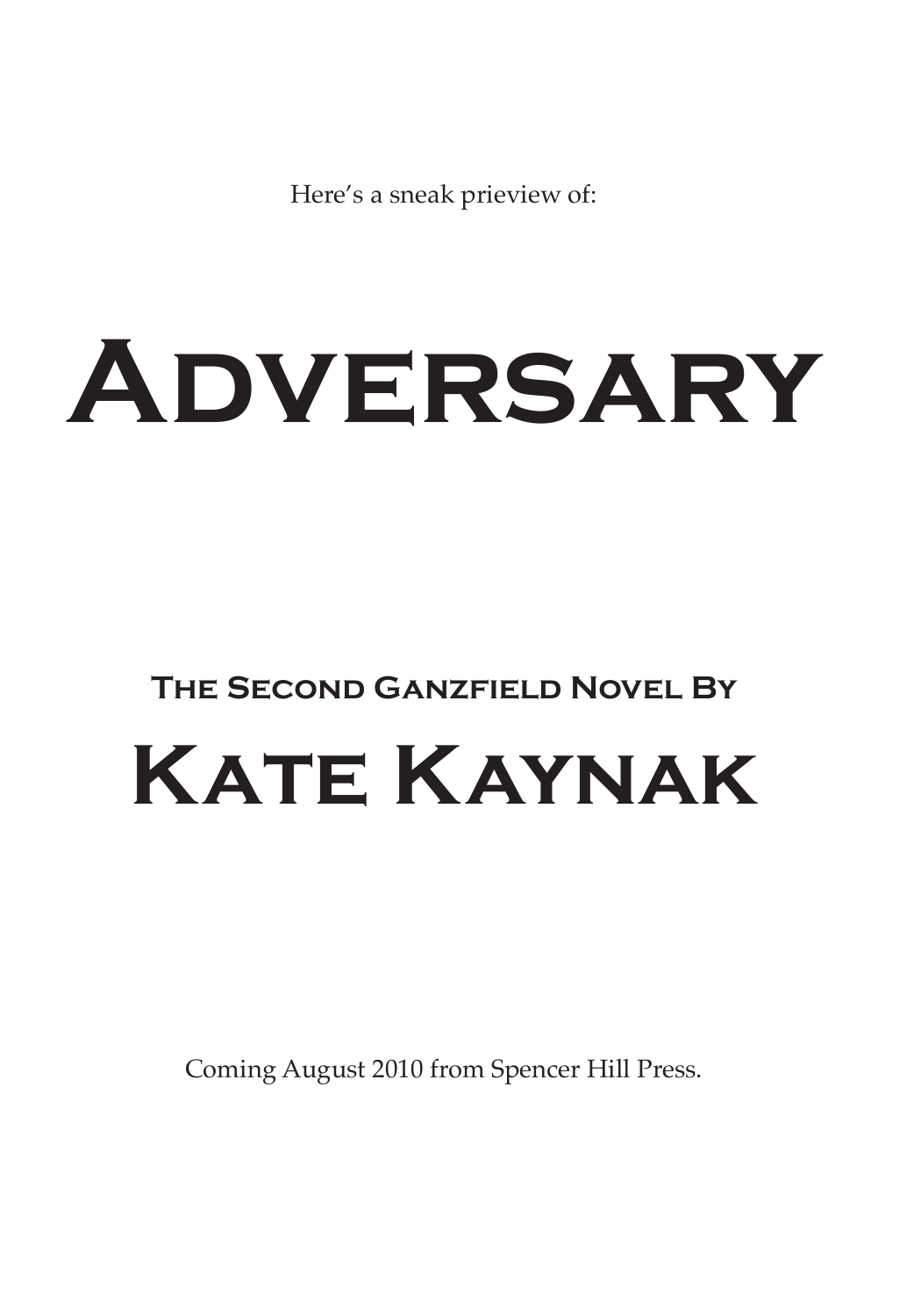Here's a sneak prieview of:

# **Adversary**

# **The Second Ganzfield Novel By Kate Kaynak**

Coming August 2010 from Spencer Hill Press.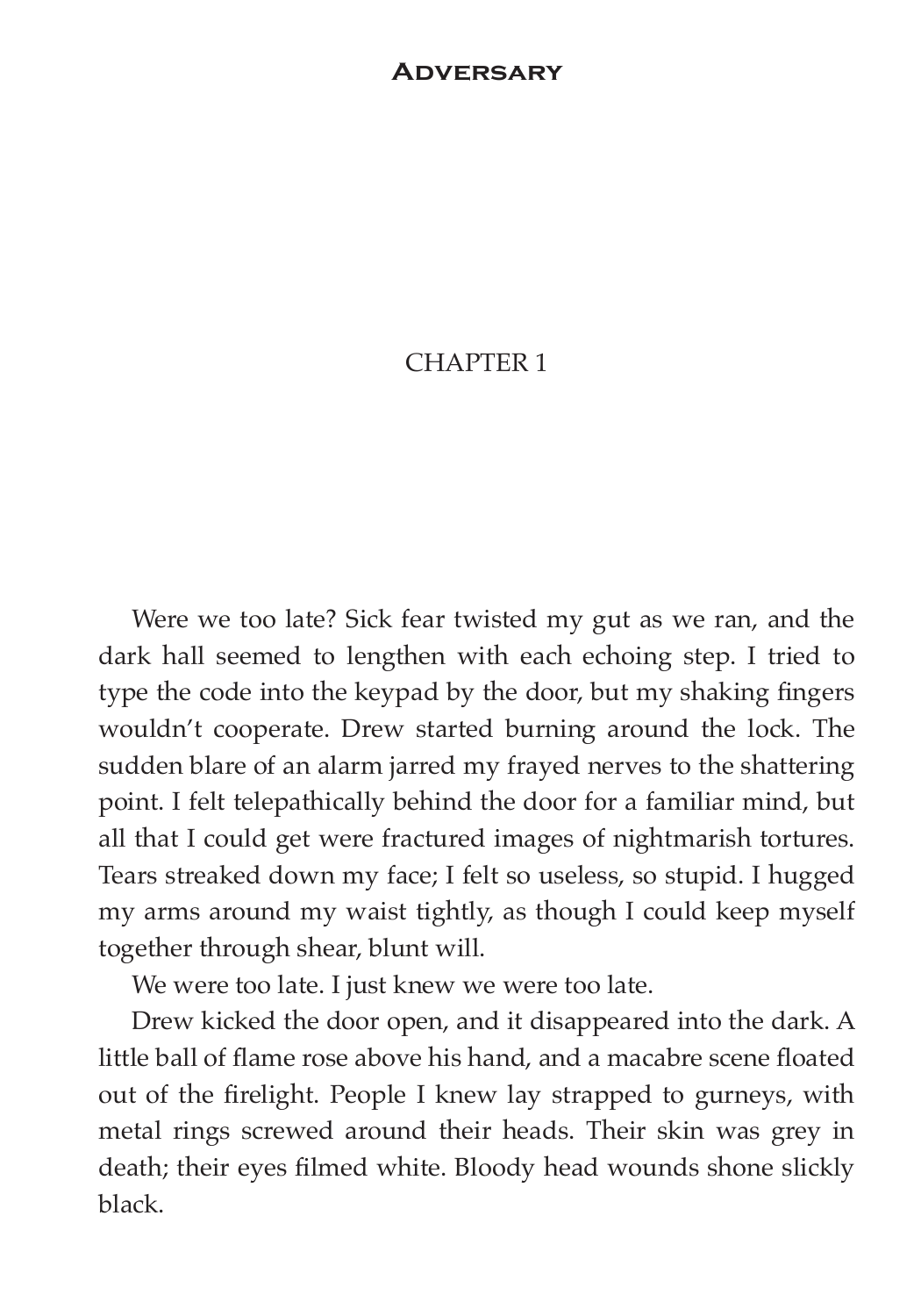#### **Adversary**

### CHAPTER 1

Were we too late? Sick fear twisted my gut as we ran, and the dark hall seemed to lengthen with each echoing step. I tried to type the code into the keypad by the door, but my shaking fingers wouldn't cooperate. Drew started burning around the lock. The sudden blare of an alarm jarred my frayed nerves to the shattering point. I felt telepathically behind the door for a familiar mind, but all that I could get were fractured images of nightmarish tortures. Tears streaked down my face; I felt so useless, so stupid. I hugged my arms around my waist tightly, as though I could keep myself together through shear, blunt will.

We were too late. I just knew we were too late.

Drew kicked the door open, and it disappeared into the dark. A little ball of flame rose above his hand, and a macabre scene floated out of the firelight. People I knew lay strapped to gurneys, with metal rings screwed around their heads. Their skin was grey in death; their eyes filmed white. Bloody head wounds shone slickly black.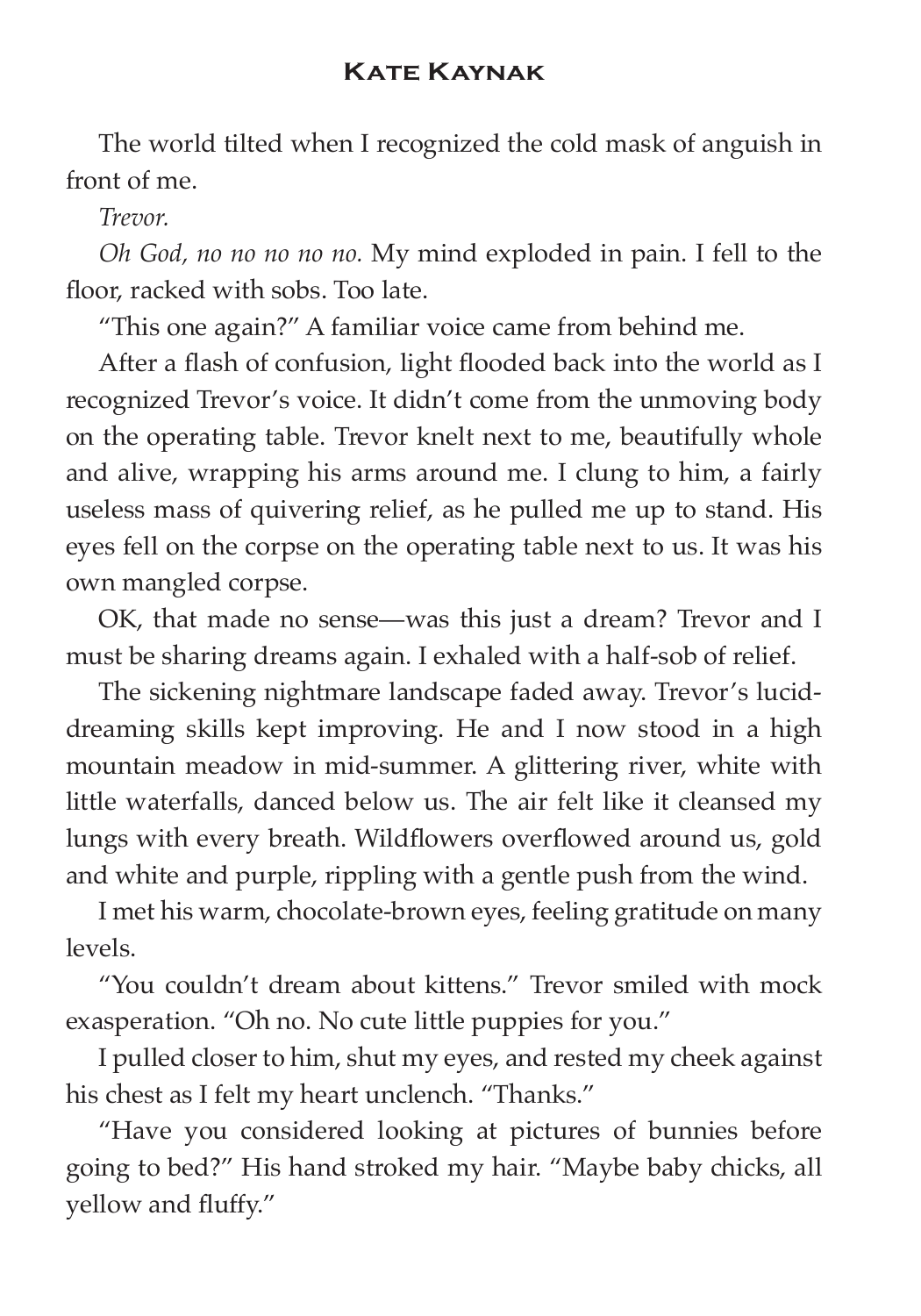The world tilted when I recognized the cold mask of anguish in front of me.

*Trevor.* 

*Oh God, no no no no no.* My mind exploded in pain. I fell to the floor, racked with sobs. Too late.

"This one again?" A familiar voice came from behind me.

After a flash of confusion, light flooded back into the world as I recognized Trevor's voice. It didn't come from the unmoving body on the operating table. Trevor knelt next to me, beautifully whole and alive, wrapping his arms around me. I clung to him, a fairly useless mass of quivering relief, as he pulled me up to stand. His eyes fell on the corpse on the operating table next to us. It was his own mangled corpse.

OK, that made no sense—was this just a dream? Trevor and I must be sharing dreams again. I exhaled with a half-sob of relief.

The sickening nightmare landscape faded away. Trevor's luciddreaming skills kept improving. He and I now stood in a high mountain meadow in mid-summer. A glittering river, white with little waterfalls, danced below us. The air felt like it cleansed my lungs with every breath. Wildflowers overflowed around us, gold and white and purple, rippling with a gentle push from the wind.

I met his warm, chocolate-brown eyes, feeling gratitude on many levels.

"You couldn't dream about kittens." Trevor smiled with mock exasperation. "Oh no. No cute little puppies for you."

I pulled closer to him, shut my eyes, and rested my cheek against his chest as I felt my heart unclench. "Thanks."

"Have you considered looking at pictures of bunnies before going to bed?" His hand stroked my hair. "Maybe baby chicks, all yellow and fluffy."